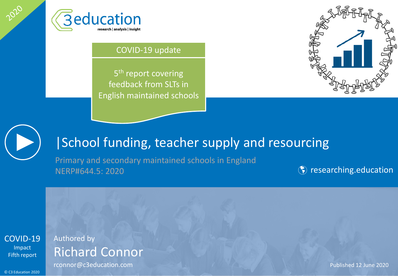

#### COVID-19 update

5<sup>th</sup> report covering feedback from SLTs in English maintained schools





2020

# |School funding, teacher supply and resourcing

Primary and secondary maintained schools in England NERP#644.5: 2020 **Researching.education** 

[COVID-19](#page-2-0) Impact Fifth report

### Authored by Richard Connor

rconnor@c3education.com entry and the connormal published 12 June 2020

© C3 Education 2020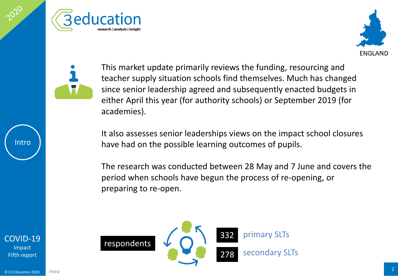





This market update primarily reviews the funding, resourcing and teacher supply situation schools find themselves. Much has changed since senior leadership agreed and subsequently enacted budgets in either April this year (for authority schools) or September 2019 (for academies).

It also assesses senior leaderships views on the impact school closures have had on the possible learning outcomes of pupils.

The research was conducted between 28 May and 7 June and covers the period when schools have begun the process of re-opening, or preparing to re-open.



Intro

[COVID-19](#page-2-0) Impact Fifth report

Intro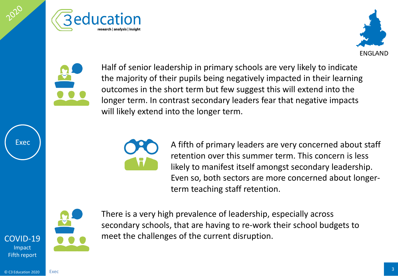<span id="page-2-0"></span>





Half of senior leadership in primary schools are very likely to indicate the majority of their pupils being negatively impacted in their learning outcomes in the short term but few suggest this will extend into the longer term. In contrast secondary leaders fear that negative impacts will likely extend into the longer term.



A fifth of primary leaders are very concerned about staff retention over this summer term. This concern is less likely to manifest itself amongst secondary leadership. Even so, both sectors are more concerned about longerterm teaching staff retention.



Exec

There is a very high prevalence of leadership, especially across secondary schools, that are having to re-work their school budgets to meet the challenges of the current disruption.

[COVID-19](#page-2-0) Impact Fifth report

Exec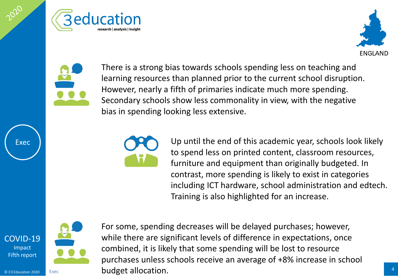





There is a strong bias towards schools spending less on teaching and learning resources than planned prior to the current school disruption. However, nearly a fifth of primaries indicate much more spending. Secondary schools show less commonality in view, with the negative bias in spending looking less extensive.



Up until the end of this academic year, schools look likely to spend less on printed content, classroom resources, furniture and equipment than originally budgeted. In contrast, more spending is likely to exist in categories including ICT hardware, school administration and edtech. Training is also highlighted for an increase.



Exec

[COVID-19](#page-2-0) Impact Fifth report

Exec

**Cannon 2020 Exec budget allocation.** The contract of the contract of the contract of the contract of the contract of the contract of the contract of the contract of the contract of the contract of the contract of the For some, spending decreases will be delayed purchases; however, while there are significant levels of difference in expectations, once combined, it is likely that some spending will be lost to resource purchases unless schools receive an average of +8% increase in school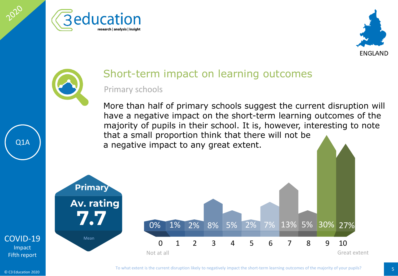





## Short-term impact on learning outcomes

#### Primary schools

More than half of primary schools suggest the current disruption will have a negative impact on the short-term learning outcomes of the majority of pupils in their school. It is, however, interesting to note that a small proportion think that there will not be a negative impact to any great extent.



#### [COVID-19](#page-2-0) Impact Fifth report

Q1A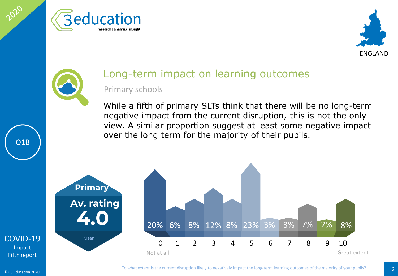





### Long-term impact on learning outcomes

Primary schools

While a fifth of primary SLTs think that there will be no long-term negative impact from the current disruption, this is not the only view. A similar proportion suggest at least some negative impact over the long term for the majority of their pupils.



[COVID-19](#page-2-0) Impact Fifth report

Q1B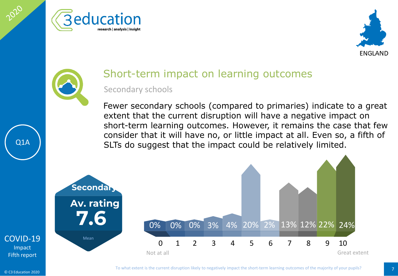





# Short-term impact on learning outcomes

#### Secondary schools

Fewer secondary schools (compared to primaries) indicate to a great extent that the current disruption will have a negative impact on short-term learning outcomes. However, it remains the case that few consider that it will have no, or little impact at all. Even so, a fifth of SLTs do suggest that the impact could be relatively limited.



#### [COVID-19](#page-2-0) Impact Fifth report

Q1A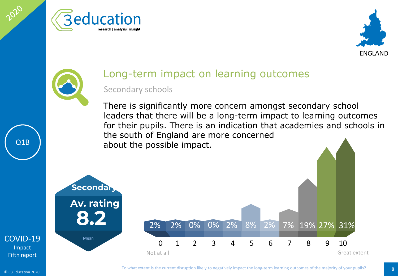





## Long-term impact on learning outcomes

#### Secondary schools

There is significantly more concern amongst secondary school leaders that there will be a long-term impact to learning outcomes for their pupils. There is an indication that academies and schools in the south of England are more concerned about the possible impact.



[COVID-19](#page-2-0) Impact Fifth report

Q1B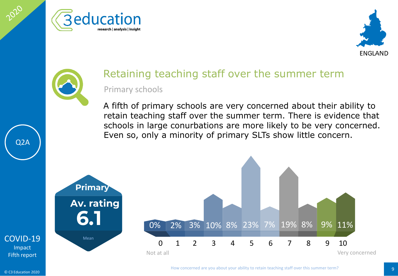





# Retaining teaching staff over the summer term

Primary schools

A fifth of primary schools are very concerned about their ability to retain teaching staff over the summer term. There is evidence that schools in large conurbations are more likely to be very concerned. Even so, only a minority of primary SLTs show little concern.



[COVID-19](#page-2-0) Impact Fifth report

Q2A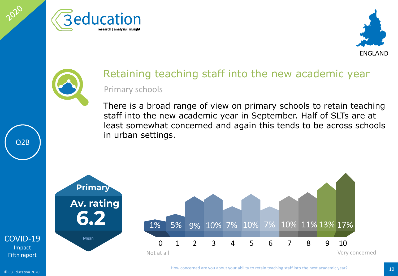





### Retaining teaching staff into the new academic year Primary schools

There is a broad range of view on primary schools to retain teaching staff into the new academic year in September. Half of SLTs are at least somewhat concerned and again this tends to be across schools in urban settings.



© C3 Education 2020

Impact

Q2B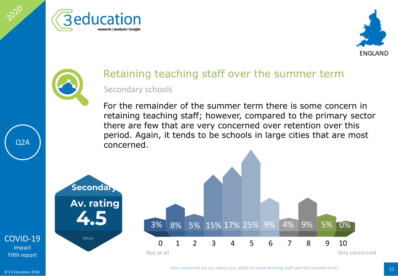





### Retaining teaching staff over the summer term Secondary schools

For the remainder of the summer term there is some concern in retaining teaching staff; however, compared to the primary sector there are few that are very concerned over retention over this period. Again, it tends to be schools in large cities that are most concerned.



[COVID-19](#page-2-0) Impact Fifth report

Q2A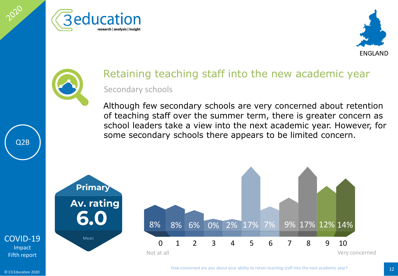





### Retaining teaching staff into the new academic year Secondary schools

Although few secondary schools are very concerned about retention of teaching staff over the summer term, there is greater concern as school leaders take a view into the next academic year. However, for some secondary schools there appears to be limited concern.



[COVID-19](#page-2-0) Impact Fifth report

Q2B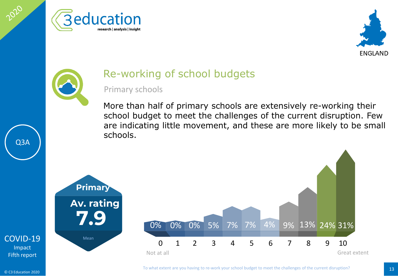





### Re-working of school budgets

#### Primary schools

More than half of primary schools are extensively re-working their school budget to meet the challenges of the current disruption. Few are indicating little movement, and these are more likely to be small schools.



© C3 Education 2020

Q3A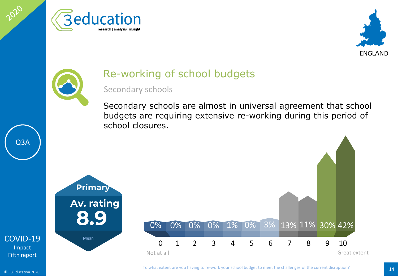





### Re-working of school budgets

#### Secondary schools

Secondary schools are almost in universal agreement that school budgets are requiring extensive re-working during this period of school closures.



[COVID-19](#page-2-0) Impact Fifth report

Q3A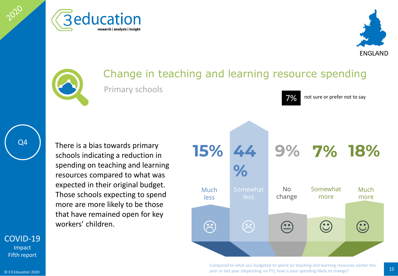





### Change in teaching and learning resource spending Primary schools

Q4

2020

There is a bias towards primary schools indicating a reduction in spending on teaching and learning resources compared to what was expected in their original budget. Those schools expecting to spend more are more likely to be those that have remained open for key

workers' children.<br>
and the contract of the contract of the contract of the contract of the contract of the contract of the contract of the contract of the contract of the contract of the contract of the contract of the co Much less Somewhat less Somewhat more No change **44 9% 15% 7% 18% %**  $\odot$ Much more  $\odot$ 

7% not sure or prefer not to say

Compared to what you budgeted to spend on teaching and learning resources earlier this 15 year or last year (depending on FY), how is your spending likely to change?

#### [COVID-19](#page-2-0)

Impact Fifth report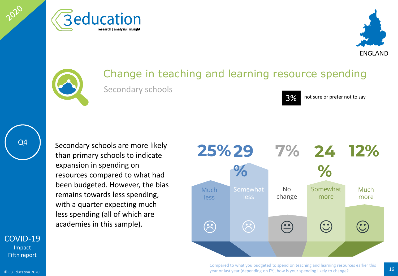





### Change in teaching and learning resource spending Secondary schools



3% not sure or prefer not to say

2020

Secondary schools are more likely than primary schools to indicate expansion in spending on resources compared to what had been budgeted. However, the bias remains towards less spending, with a quarter expecting much less spending (all of which are



Compared to what you budgeted to spend on teaching and learning resources earlier this 16 year or last year (depending on FY), how is your spending likely to change?

### [COVID-19](#page-2-0)

Impact Fifth report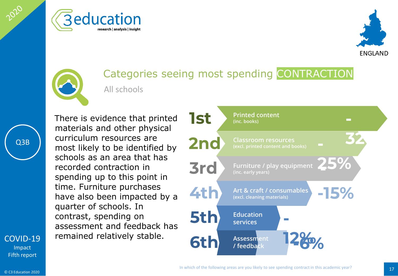





### Categories seeing most spending CONTRACTION All schools

There is evidence that printed materials and other physical curriculum resources are most likely to be identified by schools as an area that has recorded contraction in spending up to this point in time. Furniture purchases have also been impacted by a quarter of schools. In contrast, spending on assessment and feedback has remained relatively stable.



Impact Fifth report

© C3 Education 2020

[COVID-19](#page-2-0)

Q3B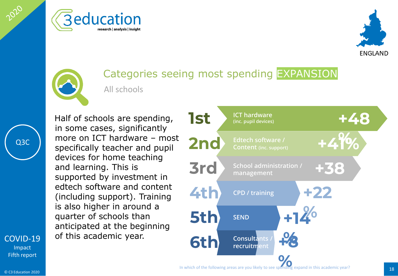





### Categories seeing most spending EXPANSION All schools

Q3C

2020

[COVID-19](#page-2-0) Impact Fifth report

Half of schools are spending, in some cases, significantly more on ICT hardware – most specifically teacher and pupil devices for home teaching and learning. This is supported by investment in edtech software and content (including support). Training is also higher in around a quarter of schools than anticipated at the beginning of this academic year.

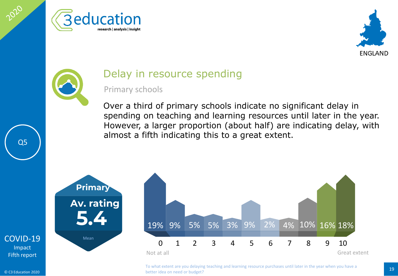





### Delay in resource spending

#### Primary schools

Over a third of primary schools indicate no significant delay in spending on teaching and learning resources until later in the year. However, a larger proportion (about half) are indicating delay, with almost a fifth indicating this to a great extent.







To what extent are you delaying teaching and learning resource purchases until later in the year when you have a<br>
19 better idea on need or budget?

Q5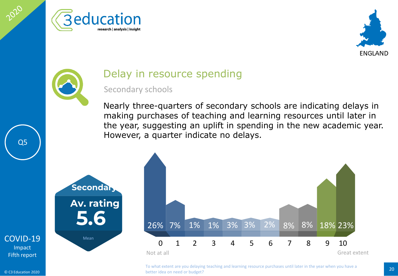





### Delay in resource spending

26% 1%

#### Secondary schools

Nearly three-quarters of secondary schools are indicating delays in making purchases of teaching and learning resources until later in the year, suggesting an uplift in spending in the new academic year. However, a quarter indicate no delays.





Q5

Not at all Great extent

<sup>20</sup> To what extent are you delaying teaching and learning resource purchases until later in the year when you have a better idea on need or budget?

0 1 2 3 4 5 6 7 8 9 10

7% 1% 3% 3% 2% 8% 8% 18% 23%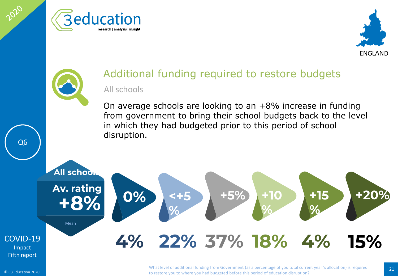





### Additional funding required to restore budgets All schools

On average schools are looking to an  $+8\%$  increase in funding from government to bring their school budgets back to the level in which they had budgeted prior to this period of school disruption.



Q6